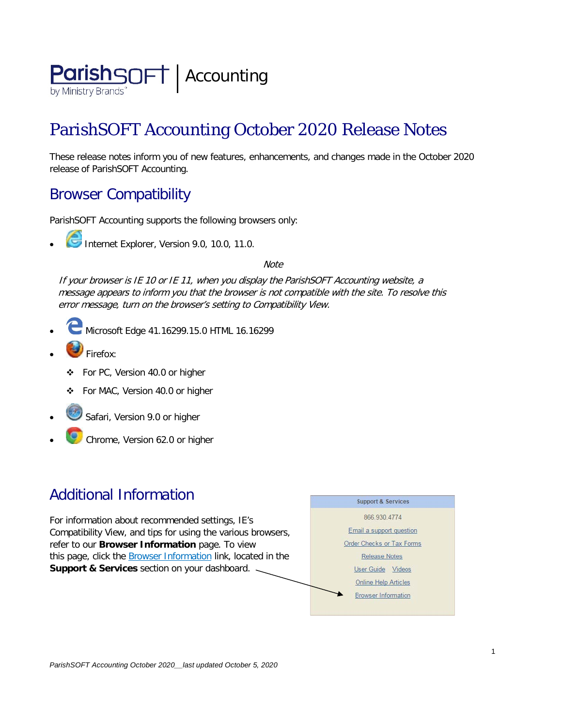

# ParishSOFT Accounting October 2020 Release Notes

These release notes inform you of new features, enhancements, and changes made in the October 2020 release of ParishSOFT Accounting.

### Browser Compatibility

ParishSOFT Accounting supports the following browsers only:

**• Internet Explorer, Version 9.0, 10.0, 11.0.** 

**Note** 

If your browser is IE 10 or IE 11, when you display the ParishSOFT Accounting website, a message appears to inform you that the browser is not compatible with the site. To resolve this error message, turn on the browser's setting to Compatibility View.

- Microsoft Edge 41.16299.15.0 HTML 16.16299
- Firefox:
	- ❖ For PC, Version 40.0 or higher
	- For MAC, Version 40.0 or higher
- Safari, Version 9.0 or higher
- Chrome, Version 62.0 or higher

## Additional Information

For information about recommended settings, IE's Compatibility View, and tips for using the various browsers, refer to our **Browser Information** page. To view this page, click the **Browser Information** link, located in the **Support & Services** section on your dashboard.